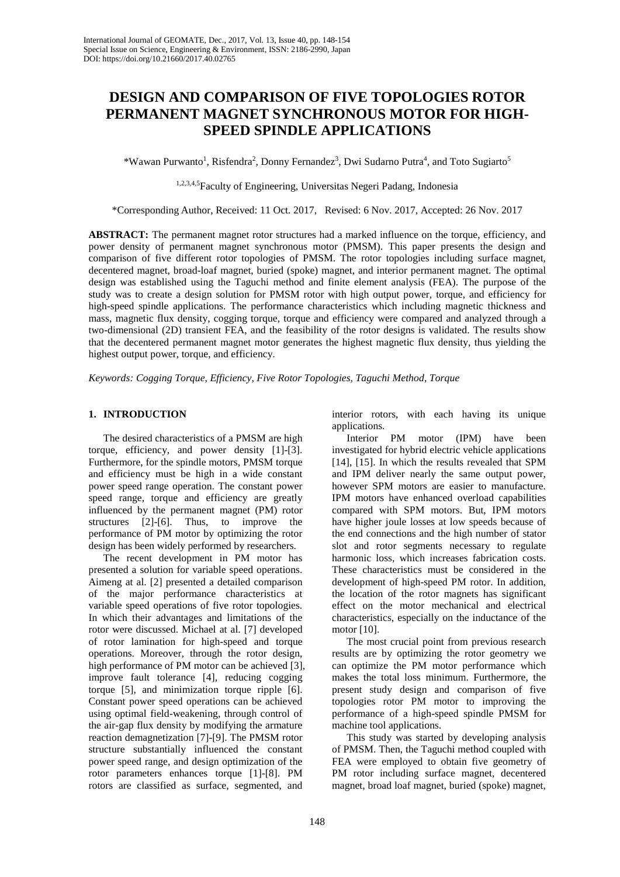# **DESIGN AND COMPARISON OF FIVE TOPOLOGIES ROTOR PERMANENT MAGNET SYNCHRONOUS MOTOR FOR HIGH-SPEED SPINDLE APPLICATIONS**

\*Wawan Purwanto<sup>1</sup>, Risfendra<sup>2</sup>, Donny Fernandez<sup>3</sup>, Dwi Sudarno Putra<sup>4</sup>, and Toto Sugiarto<sup>5</sup>

1,2,3,4,5Faculty of Engineering, Universitas Negeri Padang, Indonesia

\*Corresponding Author, Received: 11 Oct. 2017, Revised: 6 Nov. 2017, Accepted: 26 Nov. 2017

**ABSTRACT:** The permanent magnet rotor structures had a marked influence on the torque, efficiency, and power density of permanent magnet synchronous motor (PMSM). This paper presents the design and comparison of five different rotor topologies of PMSM. The rotor topologies including surface magnet, decentered magnet, broad-loaf magnet, buried (spoke) magnet, and interior permanent magnet. The optimal design was established using the Taguchi method and finite element analysis (FEA). The purpose of the study was to create a design solution for PMSM rotor with high output power, torque, and efficiency for high-speed spindle applications. The performance characteristics which including magnetic thickness and mass, magnetic flux density, cogging torque, torque and efficiency were compared and analyzed through a two-dimensional (2D) transient FEA, and the feasibility of the rotor designs is validated. The results show that the decentered permanent magnet motor generates the highest magnetic flux density, thus yielding the highest output power, torque, and efficiency.

*Keywords: Cogging Torque, Efficiency, Five Rotor Topologies, Taguchi Method, Torque*

# **1. INTRODUCTION**

The desired characteristics of a PMSM are high torque, efficiency, and power density [1]-[3]. Furthermore, for the spindle motors, PMSM torque and efficiency must be high in a wide constant power speed range operation. The constant power speed range, torque and efficiency are greatly influenced by the permanent magnet (PM) rotor structures [2]-[6]. Thus, to improve the performance of PM motor by optimizing the rotor design has been widely performed by researchers.

The recent development in PM motor has presented a solution for variable speed operations. Aimeng at al. [2] presented a detailed comparison of the major performance characteristics at variable speed operations of five rotor topologies. In which their advantages and limitations of the rotor were discussed. Michael at al. [7] developed of rotor lamination for high-speed and torque operations. Moreover, through the rotor design, high performance of PM motor can be achieved [3], improve fault tolerance [4], reducing cogging torque [5], and minimization torque ripple [6]. Constant power speed operations can be achieved using optimal field-weakening, through control of the air-gap flux density by modifying the armature reaction demagnetization [7]-[9]. The PMSM rotor structure substantially influenced the constant power speed range, and design optimization of the rotor parameters enhances torque [1]-[8]. PM rotors are classified as surface, segmented, and

interior rotors, with each having its unique applications.

Interior PM motor (IPM) have been investigated for hybrid electric vehicle applications [14], [15]. In which the results revealed that SPM and IPM deliver nearly the same output power, however SPM motors are easier to manufacture. IPM motors have enhanced overload capabilities compared with SPM motors. But, IPM motors have higher joule losses at low speeds because of the end connections and the high number of stator slot and rotor segments necessary to regulate harmonic loss, which increases fabrication costs. These characteristics must be considered in the development of high-speed PM rotor. In addition, the location of the rotor magnets has significant effect on the motor mechanical and electrical characteristics, especially on the inductance of the motor [10].

The most crucial point from previous research results are by optimizing the rotor geometry we can optimize the PM motor performance which makes the total loss minimum. Furthermore, the present study design and comparison of five topologies rotor PM motor to improving the performance of a high-speed spindle PMSM for machine tool applications.

This study was started by developing analysis of PMSM. Then, the Taguchi method coupled with FEA were employed to obtain five geometry of PM rotor including surface magnet, decentered magnet, broad loaf magnet, buried (spoke) magnet,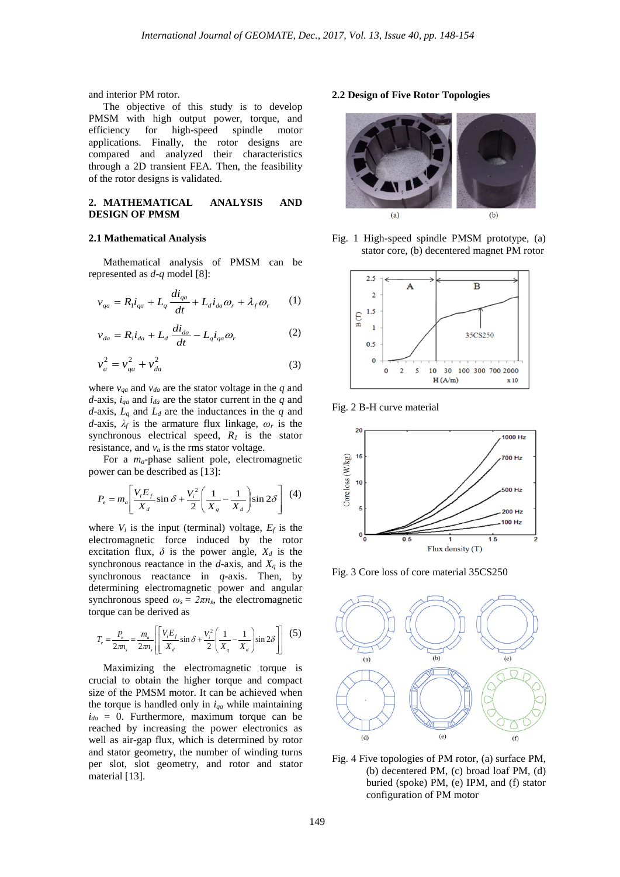and interior PM rotor.

The objective of this study is to develop PMSM with high output power, torque, and<br>efficiency for high-speed spindle motor efficiency for high-speed spindle motor applications. Finally, the rotor designs are compared and analyzed their characteristics through a 2D transient FEA. Then, the feasibility of the rotor designs is validated.

# **2. MATHEMATICAL ANALYSIS AND DESIGN OF PMSM**

#### **2.1 Mathematical Analysis**

Mathematical analysis of PMSM can be represented as *d-q* model [8]:

$$
v_{qa} = R_1 i_{qa} + L_q \frac{di_{qa}}{dt} + L_d i_{da} \omega_r + \lambda_f \omega_r \tag{1}
$$

$$
v_{da} = R_1 \dot{i}_{da} + L_d \frac{di_{da}}{dt} - L_q \dot{i}_{qa} \omega_r
$$
 (2)

$$
v_a^2 = v_{qa}^2 + v_{da}^2 \tag{3}
$$

where  $v_{qa}$  and  $v_{da}$  are the stator voltage in the  $q$  and  $d$ -axis,  $i_{qa}$  and  $i_{da}$  are the stator current in the *q* and *d*-axis,  $L_q$  and  $L_d$  are the inductances in the  $q$  and *d*-axis, *λ<sup>f</sup>* is the armature flux linkage, *ω<sup>r</sup>* is the synchronous electrical speed, *R1* is the stator resistance, and  $v_a$  is the rms stator voltage.

For a *ma*-phase salient pole, electromagnetic power can be described as [13]:

$$
P_e = m_a \left[ \frac{V_i E_f}{X_d} \sin \delta + \frac{V_i^2}{2} \left( \frac{1}{X_q} - \frac{1}{X_d} \right) \sin 2\delta \right] \tag{4}
$$

where  $V_i$  is the input (terminal) voltage,  $E_f$  is the electromagnetic force induced by the rotor excitation flux,  $\delta$  is the power angle,  $X_d$  is the synchronous reactance in the  $d$ -axis, and  $X_q$  is the synchronous reactance in *q*-axis. Then, by determining electromagnetic power and angular synchronous speed  $\omega_s = 2\pi n_s$ , the electromagnetic torque can be derived as

$$
T_e = \frac{P_e}{2\pi n_s} = \frac{m_a}{2\pi n_s} \left[ \frac{V_i E_f}{X_d} \sin \delta + \frac{V_i^2}{2} \left( \frac{1}{X_q} - \frac{1}{X_d} \right) \sin 2\delta \right] \tag{5}
$$

Maximizing the electromagnetic torque is crucial to obtain the higher torque and compact size of the PMSM motor. It can be achieved when the torque is handled only in  $i_{qa}$  while maintaining  $i_{da} = 0$ . Furthermore, maximum torque can be reached by increasing the power electronics as well as air-gap flux, which is determined by rotor and stator geometry, the number of winding turns per slot, slot geometry, and rotor and stator material [13].

### **2.2 Design of Five Rotor Topologies**



Fig. 1 High-speed spindle PMSM prototype, (a) stator core, (b) decentered magnet PM rotor



Fig. 2 B-H curve material



Fig. 3 Core loss of core material 35CS250



Fig. 4 Five topologies of PM rotor, (a) surface PM, (b) decentered PM, (c) broad loaf PM, (d) buried (spoke) PM, (e) IPM, and (f) stator configuration of PM motor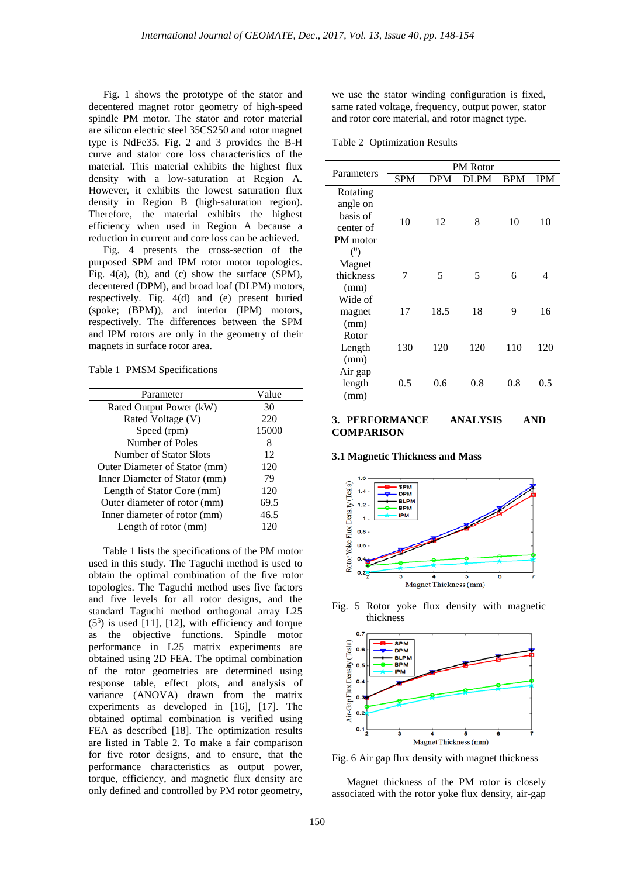Fig. 1 shows the prototype of the stator and decentered magnet rotor geometry of high-speed spindle PM motor. The stator and rotor material are silicon electric steel 35CS250 and rotor magnet type is NdFe35. Fig. 2 and 3 provides the B-H curve and stator core loss characteristics of the material. This material exhibits the highest flux density with a low-saturation at Region A. However, it exhibits the lowest saturation flux density in Region B (high-saturation region). Therefore, the material exhibits the highest efficiency when used in Region A because a reduction in current and core loss can be achieved.

Fig. 4 presents the cross-section of the purposed SPM and IPM rotor motor topologies. Fig. 4(a), (b), and (c) show the surface (SPM), decentered (DPM), and broad loaf (DLPM) motors, respectively. Fig. 4(d) and (e) present buried (spoke; (BPM)), and interior (IPM) motors, respectively. The differences between the SPM and IPM rotors are only in the geometry of their magnets in surface rotor area.

Table 1 PMSM Specifications

| Parameter                     | Value |
|-------------------------------|-------|
| Rated Output Power (kW)       | 30    |
| Rated Voltage (V)             | 220   |
| Speed (rpm)                   | 15000 |
| Number of Poles               | 8     |
| Number of Stator Slots        | 12    |
| Outer Diameter of Stator (mm) | 120   |
| Inner Diameter of Stator (mm) | 79    |
| Length of Stator Core (mm)    | 120   |
| Outer diameter of rotor (mm)  | 69.5  |
| Inner diameter of rotor (mm)  | 46.5  |
| Length of rotor (mm)          | 120   |
|                               |       |

Table 1 lists the specifications of the PM motor used in this study. The Taguchi method is used to obtain the optimal combination of the five rotor topologies. The Taguchi method uses five factors and five levels for all rotor designs, and the standard Taguchi method orthogonal array L25  $(5<sup>5</sup>)$  is used [11], [12], with efficiency and torque as the objective functions. Spindle motor performance in L25 matrix experiments are obtained using 2D FEA. The optimal combination of the rotor geometries are determined using response table, effect plots, and analysis of variance (ANOVA) drawn from the matrix experiments as developed in [16], [17]. The obtained optimal combination is verified using FEA as described [18]. The optimization results are listed in Table 2. To make a fair comparison for five rotor designs, and to ensure, that the performance characteristics as output power, torque, efficiency, and magnetic flux density are only defined and controlled by PM rotor geometry,

we use the stator winding configuration is fixed, same rated voltage, frequency, output power, stator and rotor core material, and rotor magnet type.

Table 2 Optimization Results

| Parameters                                                       | <b>PM</b> Rotor |            |      |            |            |
|------------------------------------------------------------------|-----------------|------------|------|------------|------------|
|                                                                  | <b>SPM</b>      | <b>DPM</b> | DLPM | <b>BPM</b> | <b>IPM</b> |
| Rotating<br>angle on<br>basis of<br>center of<br>PM motor<br>(0) | 10              | 12         | 8    | 10         | 10         |
| Magnet<br>thickness<br>(mm)                                      | 7               | 5          | 5    | 6          | 4          |
| Wide of<br>magnet<br>(mm)                                        | 17              | 18.5       | 18   | 9          | 16         |
| Rotor<br>Length<br>(mm)                                          | 130             | 120        | 120  | 110        | 120        |
| Air gap<br>length<br>(mm)                                        | 0.5             | 0.6        | 0.8  | 0.8        | 0.5        |

# **3. PERFORMANCE ANALYSIS AND COMPARISON**

#### **3.1 Magnetic Thickness and Mass**



Fig. 5 Rotor yoke flux density with magnetic thickness



Fig. 6 Air gap flux density with magnet thickness

Magnet thickness of the PM rotor is closely associated with the rotor yoke flux density, air-gap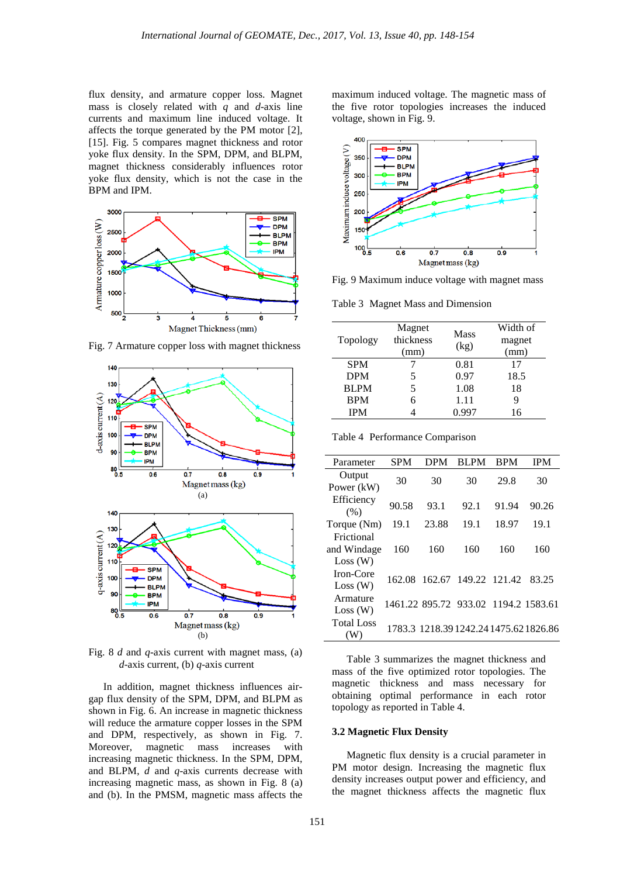flux density, and armature copper loss. Magnet mass is closely related with *q* and *d*-axis line currents and maximum line induced voltage. It affects the torque generated by the PM motor [2], [15]. Fig. 5 compares magnet thickness and rotor yoke flux density. In the SPM, DPM, and BLPM, magnet thickness considerably influences rotor yoke flux density, which is not the case in the BPM and IPM.



Fig. 7 Armature copper loss with magnet thickness



Fig. 8 *d* and *q*-axis current with magnet mass, (a) *d*-axis current, (b) *q*-axis current

In addition, magnet thickness influences airgap flux density of the SPM, DPM, and BLPM as shown in Fig. 6. An increase in magnetic thickness will reduce the armature copper losses in the SPM and DPM, respectively, as shown in Fig. 7. Moreover, magnetic mass increases with increasing magnetic thickness. In the SPM, DPM, and BLPM, *d* and *q*-axis currents decrease with increasing magnetic mass, as shown in Fig. 8 (a) and (b). In the PMSM, magnetic mass affects the maximum induced voltage. The magnetic mass of the five rotor topologies increases the induced voltage, shown in Fig. 9.



Fig. 9 Maximum induce voltage with magnet mass

Table 3 Magnet Mass and Dimension

| Topology    | Magnet<br>thickness<br>(mm) | Mass<br>(kg) | Width of<br>magnet<br>(mm) |
|-------------|-----------------------------|--------------|----------------------------|
| <b>SPM</b>  |                             | 0.81         | 17                         |
| <b>DPM</b>  | 5                           | 0.97         | 18.5                       |
| <b>BLPM</b> | 5                           | 1.08         | 18                         |
| <b>BPM</b>  | 6                           | 1.11         | 9                          |
| <b>IPM</b>  |                             | 0.997        | 16                         |

Table 4 Performance Comparison

| Parameter                | <b>SPM</b> | <b>DPM</b> | BL PM                                | <b>BPM</b> | <b>IPM</b>                             |
|--------------------------|------------|------------|--------------------------------------|------------|----------------------------------------|
| Output<br>Power (kW)     | 30         | 30         | 30                                   | 29.8       | 30                                     |
| Efficiency<br>(% )       | 90.58      | 93.1       | 92.1                                 | 91.94      | 90.26                                  |
| Torque (Nm)              | 19.1       | 23.88      | 19.1                                 | 18.97      | 19.1                                   |
| Frictional               |            |            |                                      |            |                                        |
| and Windage              | 160        | 160        | 160                                  | 160        | 160                                    |
| Loss (W)                 |            |            |                                      |            |                                        |
| Iron-Core                | 162.08     | 162.67     | 149.22 121.42                        |            | 83.25                                  |
| Loss (W)                 |            |            |                                      |            |                                        |
| Armature                 |            |            | 1461.22 895.72 933.02 1194.2 1583.61 |            |                                        |
| Loss (W)                 |            |            |                                      |            |                                        |
| <b>Total Loss</b><br>(W) |            |            |                                      |            | 1783.3 1218.39 1242.24 1475.62 1826.86 |

Table 3 summarizes the magnet thickness and mass of the five optimized rotor topologies. The magnetic thickness and mass necessary for obtaining optimal performance in each rotor topology as reported in Table 4.

## **3.2 Magnetic Flux Density**

Magnetic flux density is a crucial parameter in PM motor design. Increasing the magnetic flux density increases output power and efficiency, and the magnet thickness affects the magnetic flux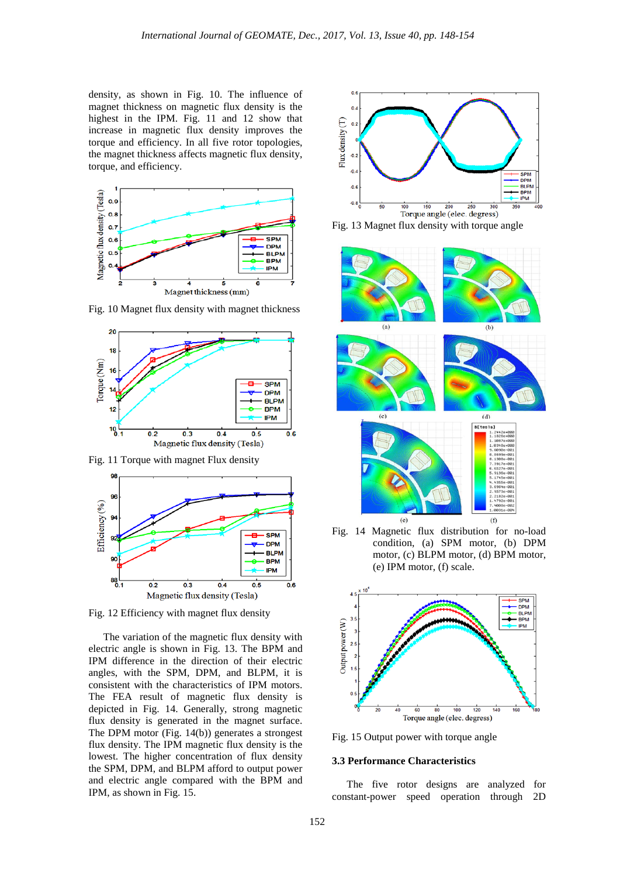$0.6$ 

density, as shown in Fig. 10. The influence of magnet thickness on magnetic flux density is the highest in the IPM. Fig. 11 and 12 show that increase in magnetic flux density improves the torque and efficiency. In all five rotor topologies, the magnet thickness affects magnetic flux density, torque, and efficiency.



Fig. 10 Magnet flux density with magnet thickness

20  $18$ Torque (Nm) **SPM DPM BLPM BPM IPM**  $^{10}$   $^{10}$  $0.4$  $0.5$ 

Fig. 11 Torque with magnet Flux density

 $0.2$ 

 $0.3$ 

Magnetic flux density (Tesla)



Fig. 12 Efficiency with magnet flux density

The variation of the magnetic flux density with electric angle is shown in Fig. 13. The BPM and IPM difference in the direction of their electric angles, with the SPM, DPM, and BLPM, it is consistent with the characteristics of IPM motors. The FEA result of magnetic flux density is depicted in Fig. 14. Generally, strong magnetic flux density is generated in the magnet surface. The DPM motor (Fig. 14(b)) generates a strongest flux density. The IPM magnetic flux density is the lowest. The higher concentration of flux density the SPM, DPM, and BLPM afford to output power and electric angle compared with the BPM and IPM, as shown in Fig. 15.



Fig. 13 Magnet flux density with torque angle



Fig. 14 Magnetic flux distribution for no-load condition, (a) SPM motor, (b) DPM motor, (c) BLPM motor, (d) BPM motor, (e) IPM motor, (f) scale.



Fig. 15 Output power with torque angle

# **3.3 Performance Characteristics**

The five rotor designs are analyzed for constant-power speed operation through 2D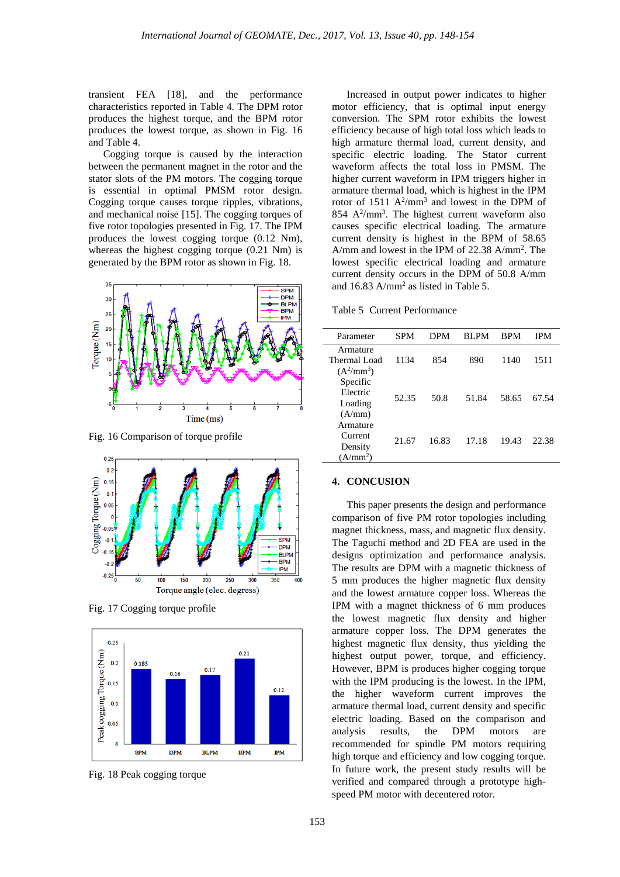transient FEA [18], and the performance characteristics reported in Table 4. The DPM rotor produces the highest torque, and the BPM rotor produces the lowest torque, as shown in Fig. 16 and Table 4.

Cogging torque is caused by the interaction between the permanent magnet in the rotor and the stator slots of the PM motors. The cogging torque is essential in optimal PMSM rotor design. Cogging torque causes torque ripples, vibrations, and mechanical noise [15]. The cogging torques of five rotor topologies presented in Fig. 17. The IPM produces the lowest cogging torque (0.12 Nm), whereas the highest cogging torque (0.21 Nm) is generated by the BPM rotor as shown in Fig. 18.



Fig. 16 Comparison of torque profile



Fig. 17 Cogging torque profile



Fig. 18 Peak cogging torque

Increased in output power indicates to higher motor efficiency, that is optimal input energy conversion. The SPM rotor exhibits the lowest efficiency because of high total loss which leads to high armature thermal load, current density, and specific electric loading. The Stator current waveform affects the total loss in PMSM. The higher current waveform in IPM triggers higher in armature thermal load, which is highest in the IPM rotor of  $1511 \text{ A}^2/\text{mm}^3$  and lowest in the DPM of  $854 \text{ A}^2/\text{mm}^3$ . The highest current waveform also causes specific electrical loading. The armature current density is highest in the BPM of 58.65 A/mm and lowest in the IPM of 22.38 A/mm2 . The lowest specific electrical loading and armature current density occurs in the DPM of 50.8 A/mm and 16.83 A/mm2 as listed in Table 5.

Table 5 Current Performance

| Parameter                                              | SPM   | <b>DPM</b> | <b>RLPM</b> | <b>BPM</b> | IPM   |
|--------------------------------------------------------|-------|------------|-------------|------------|-------|
| Armature<br>Thermal Load<br>$(A^2/mm^3)$               | 1134  | 854        | 890         | 1140       | 1511  |
| Specific<br>Electric<br>Loading<br>(A/mm)              | 52.35 | 50.8       | 51.84       | 58.65      | 67.54 |
| Armature<br>Current<br>Density<br>(A/mm <sup>2</sup> ) | 21.67 | 16.83      | 17.18       | 19.43      | 22.38 |

# **4. CONCUSION**

This paper presents the design and performance comparison of five PM rotor topologies including magnet thickness, mass, and magnetic flux density. The Taguchi method and 2D FEA are used in the designs optimization and performance analysis. The results are DPM with a magnetic thickness of 5 mm produces the higher magnetic flux density and the lowest armature copper loss. Whereas the IPM with a magnet thickness of 6 mm produces the lowest magnetic flux density and higher armature copper loss. The DPM generates the highest magnetic flux density, thus yielding the highest output power, torque, and efficiency. However, BPM is produces higher cogging torque with the IPM producing is the lowest. In the IPM, the higher waveform current improves the armature thermal load, current density and specific electric loading. Based on the comparison and analysis results, the DPM motors are recommended for spindle PM motors requiring high torque and efficiency and low cogging torque. In future work, the present study results will be verified and compared through a prototype highspeed PM motor with decentered rotor.